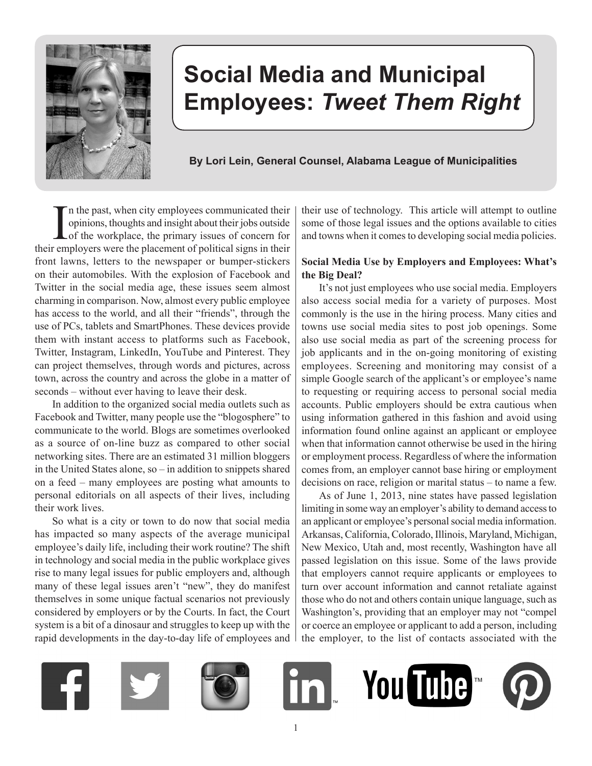

# **Social Media and Municipal Employees:** *Tweet Them Right*

# **By Lori Lein, General Counsel, Alabama League of Municipalities**

In the past, when city employees communicated their opinions, thoughts and insight about their jobs outside of the workplace, the primary issues of concern for their employers were the placement of political signs in their n the past, when city employees communicated their opinions, thoughts and insight about their jobs outside of the workplace, the primary issues of concern for front lawns, letters to the newspaper or bumper-stickers on their automobiles. With the explosion of Facebook and Twitter in the social media age, these issues seem almost charming in comparison. Now, almost every public employee has access to the world, and all their "friends", through the use of PCs, tablets and SmartPhones. These devices provide them with instant access to platforms such as Facebook, Twitter, Instagram, LinkedIn, YouTube and Pinterest. They can project themselves, through words and pictures, across town, across the country and across the globe in a matter of seconds – without ever having to leave their desk.

In addition to the organized social media outlets such as Facebook and Twitter, many people use the "blogosphere" to communicate to the world. Blogs are sometimes overlooked as a source of on-line buzz as compared to other social networking sites. There are an estimated 31 million bloggers in the United States alone, so – in addition to snippets shared on a feed – many employees are posting what amounts to personal editorials on all aspects of their lives, including their work lives.

So what is a city or town to do now that social media has impacted so many aspects of the average municipal employee's daily life, including their work routine? The shift in technology and social media in the public workplace gives rise to many legal issues for public employers and, although many of these legal issues aren't "new", they do manifest themselves in some unique factual scenarios not previously considered by employers or by the Courts. In fact, the Court system is a bit of a dinosaur and struggles to keep up with the rapid developments in the day-to-day life of employees and their use of technology. This article will attempt to outline some of those legal issues and the options available to cities and towns when it comes to developing social media policies.

## **Social Media Use by Employers and Employees: What's the Big Deal?**

It's not just employees who use social media. Employers also access social media for a variety of purposes. Most commonly is the use in the hiring process. Many cities and towns use social media sites to post job openings. Some also use social media as part of the screening process for job applicants and in the on-going monitoring of existing employees. Screening and monitoring may consist of a simple Google search of the applicant's or employee's name to requesting or requiring access to personal social media accounts. Public employers should be extra cautious when using information gathered in this fashion and avoid using information found online against an applicant or employee when that information cannot otherwise be used in the hiring or employment process. Regardless of where the information comes from, an employer cannot base hiring or employment decisions on race, religion or marital status – to name a few.

As of June 1, 2013, nine states have passed legislation limiting in some way an employer's ability to demand access to an applicant or employee's personal social media information. Arkansas, California, Colorado, Illinois, Maryland, Michigan, New Mexico, Utah and, most recently, Washington have all passed legislation on this issue. Some of the laws provide that employers cannot require applicants or employees to turn over account information and cannot retaliate against those who do not and others contain unique language, such as Washington's, providing that an employer may not "compel or coerce an employee or applicant to add a person, including the employer, to the list of contacts associated with the

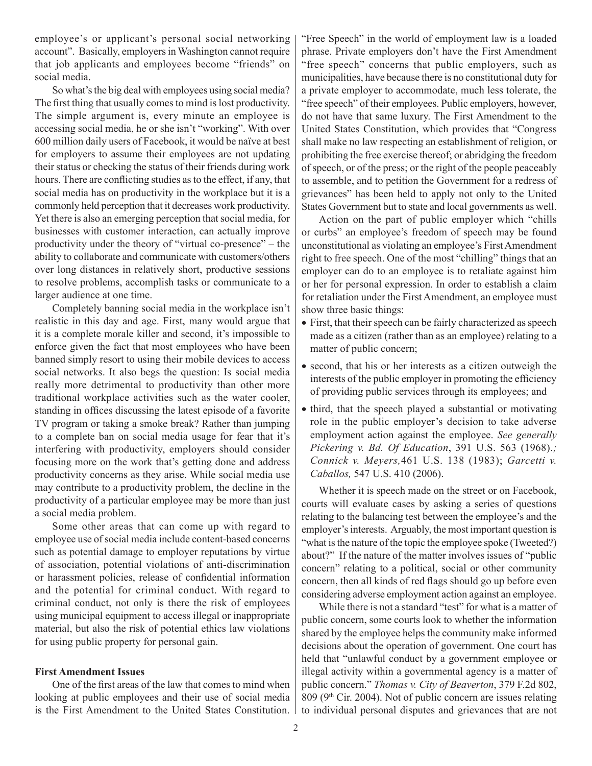employee's or applicant's personal social networking account". Basically, employers in Washington cannot require that job applicants and employees become "friends" on social media.

So what's the big deal with employees using social media? The first thing that usually comes to mind is lost productivity. The simple argument is, every minute an employee is accessing social media, he or she isn't "working". With over 600 million daily users of Facebook, it would be naïve at best for employers to assume their employees are not updating their status or checking the status of their friends during work hours. There are conflicting studies as to the effect, if any, that social media has on productivity in the workplace but it is a commonly held perception that it decreases work productivity. Yet there is also an emerging perception that social media, for businesses with customer interaction, can actually improve productivity under the theory of "virtual co-presence" – the ability to collaborate and communicate with customers/others over long distances in relatively short, productive sessions to resolve problems, accomplish tasks or communicate to a larger audience at one time.

Completely banning social media in the workplace isn't realistic in this day and age. First, many would argue that it is a complete morale killer and second, it's impossible to enforce given the fact that most employees who have been banned simply resort to using their mobile devices to access social networks. It also begs the question: Is social media really more detrimental to productivity than other more traditional workplace activities such as the water cooler, standing in offices discussing the latest episode of a favorite TV program or taking a smoke break? Rather than jumping to a complete ban on social media usage for fear that it's interfering with productivity, employers should consider focusing more on the work that's getting done and address productivity concerns as they arise. While social media use may contribute to a productivity problem, the decline in the productivity of a particular employee may be more than just a social media problem.

Some other areas that can come up with regard to employee use of social media include content-based concerns such as potential damage to employer reputations by virtue of association, potential violations of anti-discrimination or harassment policies, release of confidential information and the potential for criminal conduct. With regard to criminal conduct, not only is there the risk of employees using municipal equipment to access illegal or inappropriate material, but also the risk of potential ethics law violations for using public property for personal gain.

#### **First Amendment Issues**

One of the first areas of the law that comes to mind when looking at public employees and their use of social media is the First Amendment to the United States Constitution. "Free Speech" in the world of employment law is a loaded phrase. Private employers don't have the First Amendment "free speech" concerns that public employers, such as municipalities, have because there is no constitutional duty for a private employer to accommodate, much less tolerate, the "free speech" of their employees. Public employers, however, do not have that same luxury. The First Amendment to the United States Constitution, which provides that "Congress shall make no law respecting an establishment of religion, or prohibiting the free exercise thereof; or abridging the freedom of speech, or of the press; or the right of the people peaceably to assemble, and to petition the Government for a redress of grievances" has been held to apply not only to the United States Government but to state and local governments as well.

Action on the part of public employer which "chills or curbs" an employee's freedom of speech may be found unconstitutional as violating an employee's First Amendment right to free speech. One of the most "chilling" things that an employer can do to an employee is to retaliate against him or her for personal expression. In order to establish a claim for retaliation under the First Amendment, an employee must show three basic things:

- First, that their speech can be fairly characterized as speech made as a citizen (rather than as an employee) relating to a matter of public concern;
- second, that his or her interests as a citizen outweigh the interests of the public employer in promoting the efficiency of providing public services through its employees; and
- third, that the speech played a substantial or motivating role in the public employer's decision to take adverse employment action against the employee. *See generally Pickering v. Bd. Of Education*, 391 U.S. 563 (1968).*; Connick v. Meyers,*461 U.S. 138 (1983); *Garcetti v. Caballos,* 547 U.S. 410 (2006).

Whether it is speech made on the street or on Facebook, courts will evaluate cases by asking a series of questions relating to the balancing test between the employee's and the employer's interests. Arguably, the most important question is "what is the nature of the topic the employee spoke (Tweeted?) about?" If the nature of the matter involves issues of "public concern" relating to a political, social or other community concern, then all kinds of red flags should go up before even considering adverse employment action against an employee.

While there is not a standard "test" for what is a matter of public concern, some courts look to whether the information shared by the employee helps the community make informed decisions about the operation of government. One court has held that "unlawful conduct by a government employee or illegal activity within a governmental agency is a matter of public concern." *Thomas v. City of Beaverton*, 379 F.2d 802,  $809$  (9<sup>th</sup> Cir. 2004). Not of public concern are issues relating to individual personal disputes and grievances that are not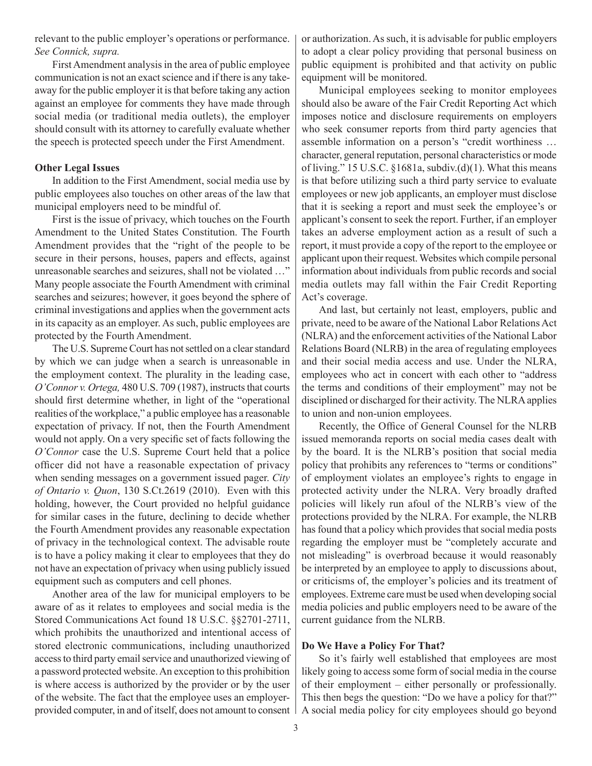relevant to the public employer's operations or performance. *See Connick, supra.*

First Amendment analysis in the area of public employee communication is not an exact science and if there is any takeaway for the public employer it is that before taking any action against an employee for comments they have made through social media (or traditional media outlets), the employer should consult with its attorney to carefully evaluate whether the speech is protected speech under the First Amendment.

### **Other Legal Issues**

In addition to the First Amendment, social media use by public employees also touches on other areas of the law that municipal employers need to be mindful of.

First is the issue of privacy, which touches on the Fourth Amendment to the United States Constitution. The Fourth Amendment provides that the "right of the people to be secure in their persons, houses, papers and effects, against unreasonable searches and seizures, shall not be violated …" Many people associate the Fourth Amendment with criminal searches and seizures; however, it goes beyond the sphere of criminal investigations and applies when the government acts in its capacity as an employer. As such, public employees are protected by the Fourth Amendment.

The U.S. Supreme Court has not settled on a clear standard by which we can judge when a search is unreasonable in the employment context. The plurality in the leading case, *O'Connor v. Ortega,* 480 U.S. 709 (1987), instructs that courts should first determine whether, in light of the "operational realities of the workplace," a public employee has a reasonable expectation of privacy. If not, then the Fourth Amendment would not apply. On a very specific set of facts following the *O'Connor* case the U.S. Supreme Court held that a police officer did not have a reasonable expectation of privacy when sending messages on a government issued pager. *City of Ontario v. Quon*, 130 S.Ct.2619 (2010). Even with this holding, however, the Court provided no helpful guidance for similar cases in the future, declining to decide whether the Fourth Amendment provides any reasonable expectation of privacy in the technological context. The advisable route is to have a policy making it clear to employees that they do not have an expectation of privacy when using publicly issued equipment such as computers and cell phones.

Another area of the law for municipal employers to be aware of as it relates to employees and social media is the Stored Communications Act found 18 U.S.C. §§2701-2711, which prohibits the unauthorized and intentional access of stored electronic communications, including unauthorized access to third party email service and unauthorized viewing of a password protected website. An exception to this prohibition is where access is authorized by the provider or by the user of the website. The fact that the employee uses an employerprovided computer, in and of itself, does not amount to consent

or authorization. As such, it is advisable for public employers to adopt a clear policy providing that personal business on public equipment is prohibited and that activity on public equipment will be monitored.

Municipal employees seeking to monitor employees should also be aware of the Fair Credit Reporting Act which imposes notice and disclosure requirements on employers who seek consumer reports from third party agencies that assemble information on a person's "credit worthiness … character, general reputation, personal characteristics or mode of living." 15 U.S.C. §1681a, subdiv.(d)(1). What this means is that before utilizing such a third party service to evaluate employees or new job applicants, an employer must disclose that it is seeking a report and must seek the employee's or applicant's consent to seek the report. Further, if an employer takes an adverse employment action as a result of such a report, it must provide a copy of the report to the employee or applicant upon their request. Websites which compile personal information about individuals from public records and social media outlets may fall within the Fair Credit Reporting Act's coverage.

And last, but certainly not least, employers, public and private, need to be aware of the National Labor Relations Act (NLRA) and the enforcement activities of the National Labor Relations Board (NLRB) in the area of regulating employees and their social media access and use. Under the NLRA, employees who act in concert with each other to "address the terms and conditions of their employment" may not be disciplined or discharged for their activity. The NLRA applies to union and non-union employees.

Recently, the Office of General Counsel for the NLRB issued memoranda reports on social media cases dealt with by the board. It is the NLRB's position that social media policy that prohibits any references to "terms or conditions" of employment violates an employee's rights to engage in protected activity under the NLRA. Very broadly drafted policies will likely run afoul of the NLRB's view of the protections provided by the NLRA. For example, the NLRB has found that a policy which provides that social media posts regarding the employer must be "completely accurate and not misleading" is overbroad because it would reasonably be interpreted by an employee to apply to discussions about, or criticisms of, the employer's policies and its treatment of employees. Extreme care must be used when developing social media policies and public employers need to be aware of the current guidance from the NLRB.

## **Do We Have a Policy For That?**

So it's fairly well established that employees are most likely going to access some form of social media in the course of their employment – either personally or professionally. This then begs the question: "Do we have a policy for that?" A social media policy for city employees should go beyond